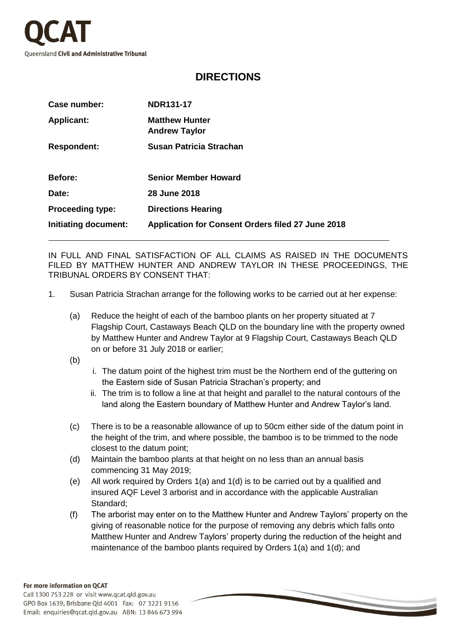

## **DIRECTIONS**

| Case number:                | <b>NDR131-17</b>                                         |
|-----------------------------|----------------------------------------------------------|
| <b>Applicant:</b>           | <b>Matthew Hunter</b><br><b>Andrew Taylor</b>            |
| <b>Respondent:</b>          | Susan Patricia Strachan                                  |
| Before:                     | <b>Senior Member Howard</b>                              |
| Date:                       | 28 June 2018                                             |
| <b>Proceeding type:</b>     | <b>Directions Hearing</b>                                |
| <b>Initiating document:</b> | <b>Application for Consent Orders filed 27 June 2018</b> |

IN FULL AND FINAL SATISFACTION OF ALL CLAIMS AS RAISED IN THE DOCUMENTS FILED BY MATTHEW HUNTER AND ANDREW TAYLOR IN THESE PROCEEDINGS, THE TRIBUNAL ORDERS BY CONSENT THAT:

- 1. Susan Patricia Strachan arrange for the following works to be carried out at her expense:
	- (a) Reduce the height of each of the bamboo plants on her property situated at 7 Flagship Court, Castaways Beach QLD on the boundary line with the property owned by Matthew Hunter and Andrew Taylor at 9 Flagship Court, Castaways Beach QLD on or before 31 July 2018 or earlier;

(b)

- i. The datum point of the highest trim must be the Northern end of the guttering on the Eastern side of Susan Patricia Strachan's property; and
- ii. The trim is to follow a line at that height and parallel to the natural contours of the land along the Eastern boundary of Matthew Hunter and Andrew Taylor's land.
- (c) There is to be a reasonable allowance of up to 50cm either side of the datum point in the height of the trim, and where possible, the bamboo is to be trimmed to the node closest to the datum point;
- (d) Maintain the bamboo plants at that height on no less than an annual basis commencing 31 May 2019;
- (e) All work required by Orders 1(a) and 1(d) is to be carried out by a qualified and insured AQF Level 3 arborist and in accordance with the applicable Australian Standard;
- (f) The arborist may enter on to the Matthew Hunter and Andrew Taylors' property on the giving of reasonable notice for the purpose of removing any debris which falls onto Matthew Hunter and Andrew Taylors' property during the reduction of the height and maintenance of the bamboo plants required by Orders 1(a) and 1(d); and